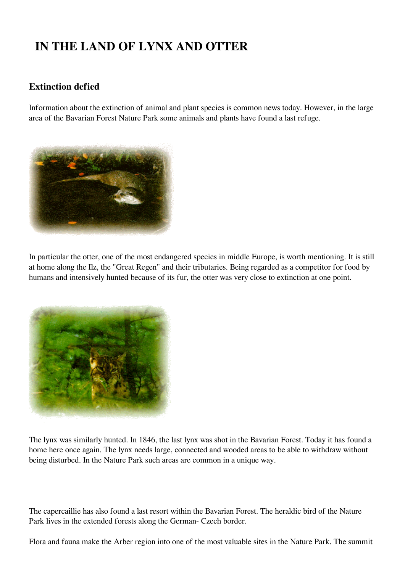## **IN THE LAND OF LYNX AND OTTER**

## **Extinction defied**

Information about the extinction of animal and plant species is common news today. However, in the large area of the Bavarian Forest Nature Park some animals and plants have found a last refuge.



In particular the otter, one of the most endangered species in middle Europe, is worth mentioning. It is still at home along the Ilz, the "Great Regen" and their tributaries. Being regarded as a competitor for food by humans and intensively hunted because of its fur, the otter was very close to extinction at one point.



The lynx was similarly hunted. In 1846, the last lynx was shot in the Bavarian Forest. Today it has found a home here once again. The lynx needs large, connected and wooded areas to be able to withdraw without being disturbed. In the Nature Park such areas are common in a unique way.

The capercaillie has also found a last resort within the Bavarian Forest. The heraldic bird of the Nature Park lives in the extended forests along the German- Czech border.

Flora and fauna make the Arber region into one of the most valuable sites in the Nature Park. The summit